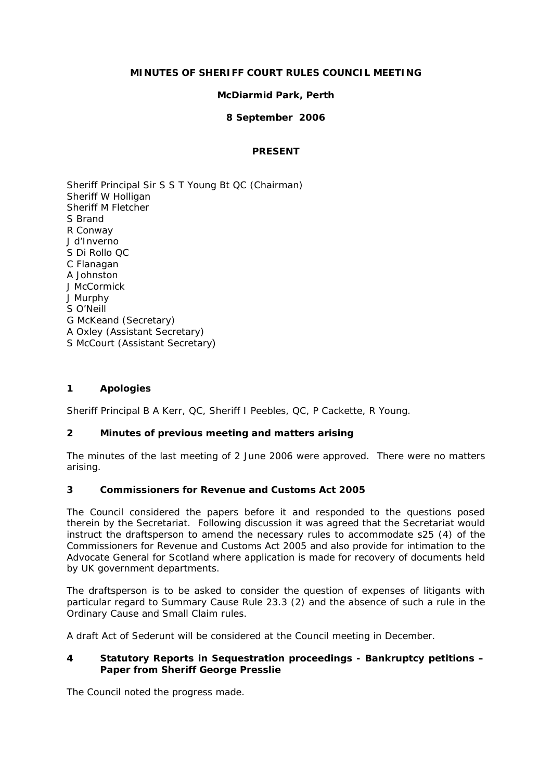# **MINUTES OF SHERIFF COURT RULES COUNCIL MEETING**

## **McDiarmid Park, Perth**

### **8 September 2006**

#### **PRESENT**

Sheriff Principal Sir S S T Young Bt QC (Chairman) Sheriff W Holligan Sheriff M Fletcher S Brand R Conway J d'Inverno S Di Rollo QC C Flanagan A Johnston J McCormick J Murphy S O'Neill G McKeand (Secretary) A Oxley (Assistant Secretary) S McCourt (Assistant Secretary)

#### **1 Apologies**

Sheriff Principal B A Kerr, QC, Sheriff I Peebles, QC, P Cackette, R Young.

#### **2 Minutes of previous meeting and matters arising**

The minutes of the last meeting of 2 June 2006 were approved. There were no matters arising.

## **3 Commissioners for Revenue and Customs Act 2005**

The Council considered the papers before it and responded to the questions posed therein by the Secretariat. Following discussion it was agreed that the Secretariat would instruct the draftsperson to amend the necessary rules to accommodate s25 (4) of the Commissioners for Revenue and Customs Act 2005 and also provide for intimation to the Advocate General for Scotland where application is made for recovery of documents held by UK government departments.

The draftsperson is to be asked to consider the question of expenses of litigants with particular regard to Summary Cause Rule 23.3 (2) and the absence of such a rule in the Ordinary Cause and Small Claim rules.

A draft Act of Sederunt will be considered at the Council meeting in December.

#### **4 Statutory Reports in Sequestration proceedings - Bankruptcy petitions – Paper from Sheriff George Presslie**

The Council noted the progress made.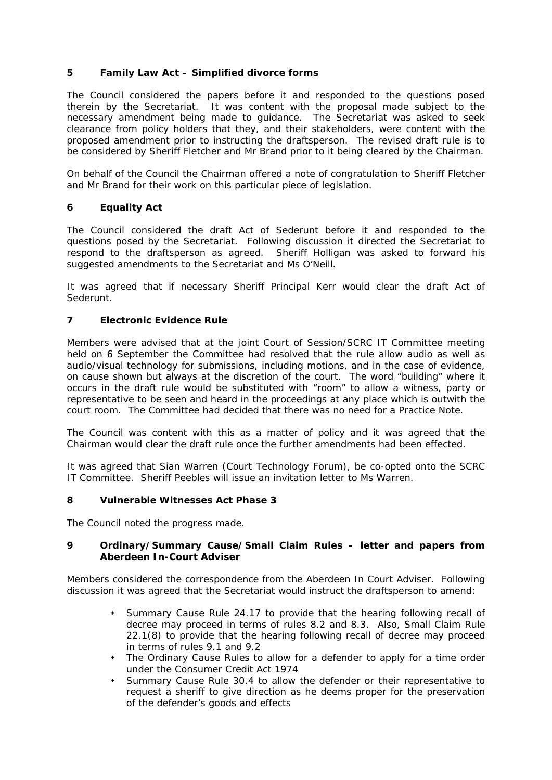# **5 Family Law Act – Simplified divorce forms**

The Council considered the papers before it and responded to the questions posed therein by the Secretariat. It was content with the proposal made subject to the necessary amendment being made to guidance. The Secretariat was asked to seek clearance from policy holders that they, and their stakeholders, were content with the proposed amendment prior to instructing the draftsperson. The revised draft rule is to be considered by Sheriff Fletcher and Mr Brand prior to it being cleared by the Chairman.

On behalf of the Council the Chairman offered a note of congratulation to Sheriff Fletcher and Mr Brand for their work on this particular piece of legislation.

# **6 Equality Act**

The Council considered the draft Act of Sederunt before it and responded to the questions posed by the Secretariat. Following discussion it directed the Secretariat to respond to the draftsperson as agreed. Sheriff Holligan was asked to forward his suggested amendments to the Secretariat and Ms O'Neill.

It was agreed that if necessary Sheriff Principal Kerr would clear the draft Act of Sederunt.

# **7 Electronic Evidence Rule**

Members were advised that at the joint Court of Session/SCRC IT Committee meeting held on 6 September the Committee had resolved that the rule allow audio as well as audio/visual technology for submissions, including motions, and in the case of evidence, on cause shown but always at the discretion of the court. The word "building" where it occurs in the draft rule would be substituted with "room" to allow a witness, party or representative to be seen and heard in the proceedings at any place which is outwith the court room. The Committee had decided that there was no need for a Practice Note.

The Council was content with this as a matter of policy and it was agreed that the Chairman would clear the draft rule once the further amendments had been effected.

It was agreed that Sian Warren (Court Technology Forum), be co-opted onto the SCRC IT Committee. Sheriff Peebles will issue an invitation letter to Ms Warren.

#### **8 Vulnerable Witnesses Act Phase 3**

The Council noted the progress made.

#### **9 Ordinary/Summary Cause/Small Claim Rules – letter and papers from Aberdeen In-Court Adviser**

Members considered the correspondence from the Aberdeen In Court Adviser. Following discussion it was agreed that the Secretariat would instruct the draftsperson to amend:

- Summary Cause Rule 24.17 to provide that the hearing following recall of decree may proceed in terms of rules 8.2 and 8.3. Also, Small Claim Rule 22.1(8) to provide that the hearing following recall of decree may proceed in terms of rules 9.1 and 9.2
- The Ordinary Cause Rules to allow for a defender to apply for a time order under the Consumer Credit Act 1974
- Summary Cause Rule 30.4 to allow the defender or their representative to request a sheriff to give direction as he deems proper for the preservation of the defender's goods and effects